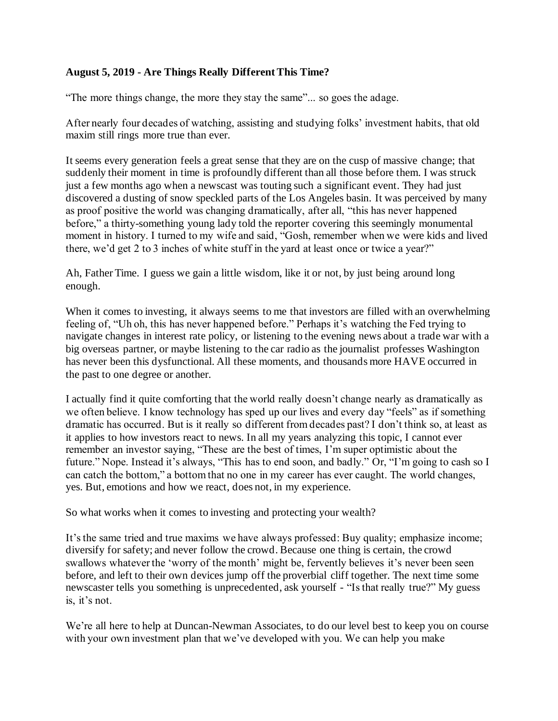## **August 5, 2019 - Are Things Really Different This Time?**

"The more things change, the more they stay the same"... so goes the adage.

After nearly four decades of watching, assisting and studying folks' investment habits, that old maxim still rings more true than ever.

It seems every generation feels a great sense that they are on the cusp of massive change; that suddenly their moment in time is profoundly different than all those before them. I was struck just a few months ago when a newscast was touting such a significant event. They had just discovered a dusting of snow speckled parts of the Los Angeles basin. It was perceived by many as proof positive the world was changing dramatically, after all, "this has never happened before," a thirty-something young lady told the reporter covering this seemingly monumental moment in history. I turned to my wife and said, "Gosh, remember when we were kids and lived there, we'd get 2 to 3 inches of white stuff in the yard at least once or twice a year?"

Ah, Father Time. I guess we gain a little wisdom, like it or not, by just being around long enough.

When it comes to investing, it always seems to me that investors are filled with an overwhelming feeling of, "Uh oh, this has never happened before." Perhaps it's watching the Fed trying to navigate changes in interest rate policy, or listening to the evening news about a trade war with a big overseas partner, or maybe listening to the car radio as the journalist professes Washington has never been this dysfunctional. All these moments, and thousands more HAVE occurred in the past to one degree or another.

I actually find it quite comforting that the world really doesn't change nearly as dramatically as we often believe. I know technology has sped up our lives and every day "feels" as if something dramatic has occurred. But is it really so different from decades past? I don't think so, at least as it applies to how investors react to news. In all my years analyzing this topic, I cannot ever remember an investor saying, "These are the best of times, I'm super optimistic about the future." Nope. Instead it's always, "This has to end soon, and badly." Or, "I'm going to cash so I can catch the bottom," a bottom that no one in my career has ever caught. The world changes, yes. But, emotions and how we react, does not, in my experience.

So what works when it comes to investing and protecting your wealth?

It's the same tried and true maxims we have always professed: Buy quality; emphasize income; diversify for safety; and never follow the crowd. Because one thing is certain, the crowd swallows whatever the 'worry of the month' might be, fervently believes it's never been seen before, and left to their own devices jump off the proverbial cliff together. The next time some newscaster tells you something is unprecedented, ask yourself - "Is that really true?" My guess is, it's not.

We're all here to help at Duncan-Newman Associates, to do our level best to keep you on course with your own investment plan that we've developed with you. We can help you make